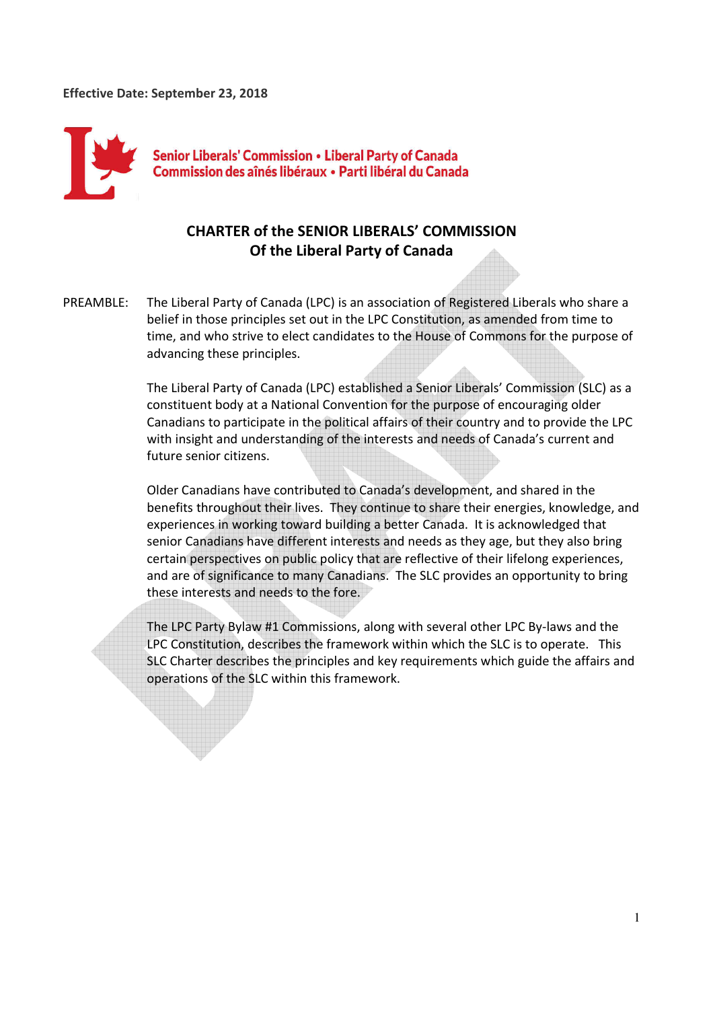

# **CHARTER of the SENIOR LIBERALS' COMMISSION Of the Liberal Party of Canada**

PREAMBLE: The Liberal Party of Canada (LPC) is an association of Registered Liberals who share a belief in those principles set out in the LPC Constitution, as amended from time to time, and who strive to elect candidates to the House of Commons for the purpose of advancing these principles.

> The Liberal Party of Canada (LPC) established a Senior Liberals' Commission (SLC) as a constituent body at a National Convention for the purpose of encouraging older Canadians to participate in the political affairs of their country and to provide the LPC with insight and understanding of the interests and needs of Canada's current and future senior citizens.

 Older Canadians have contributed to Canada's development, and shared in the benefits throughout their lives. They continue to share their energies, knowledge, and experiences in working toward building a better Canada. It is acknowledged that senior Canadians have different interests and needs as they age, but they also bring certain perspectives on public policy that are reflective of their lifelong experiences, and are of significance to many Canadians. The SLC provides an opportunity to bring these interests and needs to the fore.

The LPC Party Bylaw #1 Commissions, along with several other LPC By-laws and the LPC Constitution, describes the framework within which the SLC is to operate. This SLC Charter describes the principles and key requirements which guide the affairs and operations of the SLC within this framework.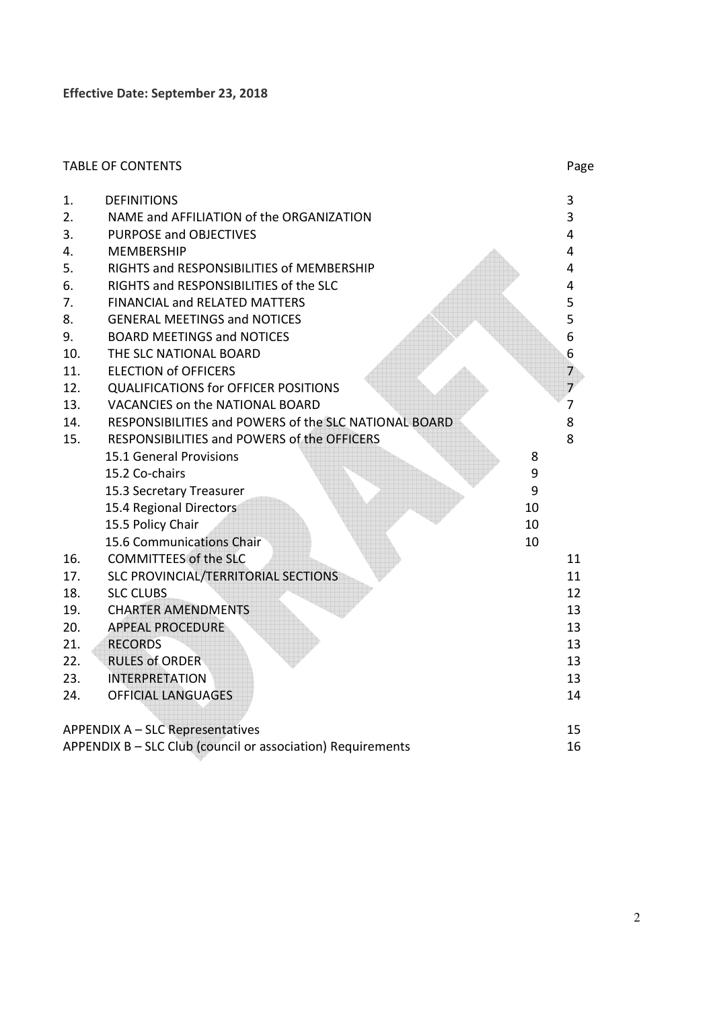|                                                             | <b>TABLE OF CONTENTS</b>                              |    | Page           |
|-------------------------------------------------------------|-------------------------------------------------------|----|----------------|
| 1.                                                          | <b>DEFINITIONS</b>                                    |    | 3              |
| 2.                                                          | NAME and AFFILIATION of the ORGANIZATION              |    | 3              |
| 3.                                                          | PURPOSE and OBJECTIVES                                |    | $\overline{4}$ |
| 4.                                                          | <b>MEMBERSHIP</b>                                     |    | 4              |
| 5.                                                          | RIGHTS and RESPONSIBILITIES of MEMBERSHIP             |    | 4              |
| 6.                                                          | RIGHTS and RESPONSIBILITIES of the SLC                |    | 4              |
| 7.                                                          | <b>FINANCIAL and RELATED MATTERS</b>                  |    | 5              |
| 8.                                                          | <b>GENERAL MEETINGS and NOTICES</b>                   |    | 5              |
| 9.                                                          | <b>BOARD MEETINGS and NOTICES</b>                     |    | 6              |
| 10.                                                         | THE SLC NATIONAL BOARD                                |    | 6              |
| 11.                                                         | <b>ELECTION of OFFICERS</b>                           |    | $\overline{7}$ |
| 12.                                                         | <b>QUALIFICATIONS for OFFICER POSITIONS</b>           |    | $\overline{7}$ |
| 13.                                                         | VACANCIES on the NATIONAL BOARD                       |    | $\overline{7}$ |
| 14.                                                         | RESPONSIBILITIES and POWERS of the SLC NATIONAL BOARD |    | 8              |
| 15.                                                         | RESPONSIBILITIES and POWERS of the OFFICERS           |    | 8              |
|                                                             | 15.1 General Provisions                               | 8  |                |
|                                                             | 15.2 Co-chairs                                        | 9  |                |
|                                                             | 15.3 Secretary Treasurer                              | 9  |                |
|                                                             | 15.4 Regional Directors                               | 10 |                |
|                                                             | 15.5 Policy Chair                                     | 10 |                |
|                                                             | 15.6 Communications Chair                             | 10 |                |
| 16.                                                         | <b>COMMITTEES of the SLC</b>                          |    | 11             |
| 17.                                                         | SLC PROVINCIAL/TERRITORIAL SECTIONS                   |    | 11             |
| 18.                                                         | <b>SLC CLUBS</b>                                      |    | 12             |
| 19.                                                         | <b>CHARTER AMENDMENTS</b>                             |    | 13             |
| 20.                                                         | <b>APPEAL PROCEDURE</b>                               |    | 13             |
| 21.                                                         | <b>RECORDS</b>                                        |    | 13             |
| 22.                                                         | <b>RULES of ORDER</b>                                 |    | 13             |
| 23.                                                         | <b>INTERPRETATION</b>                                 |    | 13             |
| 24.                                                         | <b>OFFICIAL LANGUAGES</b>                             |    | 14             |
|                                                             | APPENDIX A - SLC Representatives                      |    | 15             |
| APPENDIX B - SLC Club (council or association) Requirements |                                                       |    | 16             |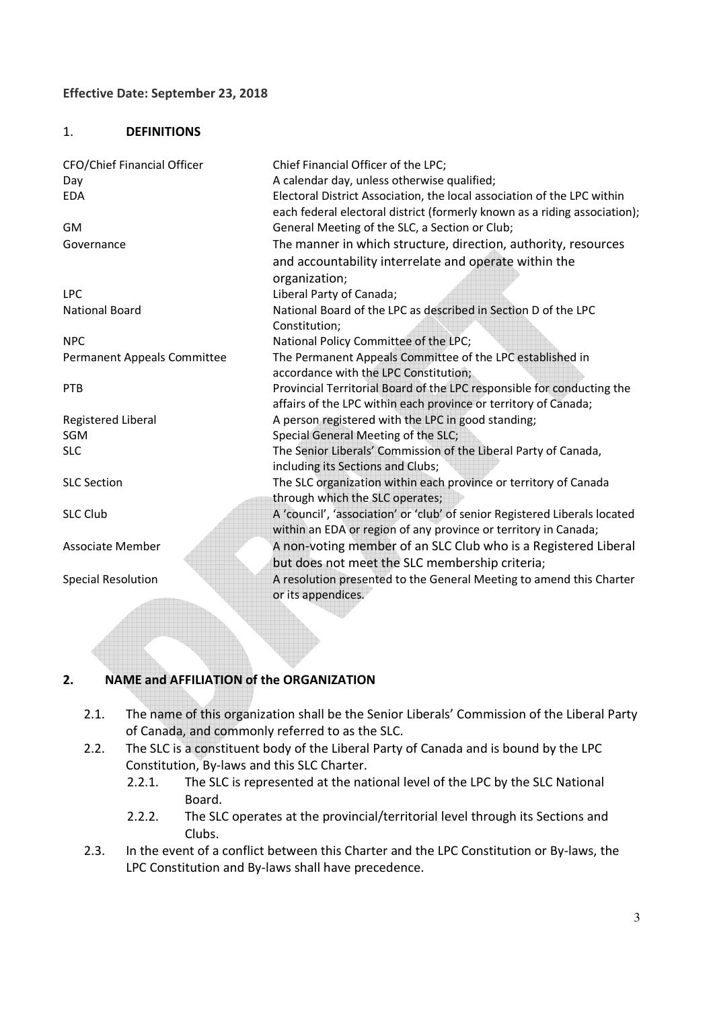#### 1. **DEFINITIONS**

| CFO/Chief Financial Officer | Chief Financial Officer of the LPC;                                        |
|-----------------------------|----------------------------------------------------------------------------|
| Day                         | A calendar day, unless otherwise qualified;                                |
| <b>EDA</b>                  | Electoral District Association, the local association of the LPC within    |
|                             | each federal electoral district (formerly known as a riding association);  |
| <b>GM</b>                   | General Meeting of the SLC, a Section or Club;                             |
| Governance                  | The manner in which structure, direction, authority, resources             |
|                             | and accountability interrelate and operate within the                      |
|                             | organization;                                                              |
| <b>LPC</b>                  | Liberal Party of Canada;                                                   |
| <b>National Board</b>       | National Board of the LPC as described in Section D of the LPC             |
|                             | Constitution;                                                              |
| <b>NPC</b>                  | National Policy Committee of the LPC;                                      |
| Permanent Appeals Committee | The Permanent Appeals Committee of the LPC established in                  |
|                             | accordance with the LPC Constitution;                                      |
| <b>PTB</b>                  | Provincial Territorial Board of the LPC responsible for conducting the     |
|                             | affairs of the LPC within each province or territory of Canada;            |
| Registered Liberal          | A person registered with the LPC in good standing;                         |
| <b>SGM</b>                  | Special General Meeting of the SLC;                                        |
| <b>SLC</b>                  | The Senior Liberals' Commission of the Liberal Party of Canada,            |
|                             | including its Sections and Clubs;                                          |
| <b>SLC Section</b>          | The SLC organization within each province or territory of Canada           |
|                             | through which the SLC operates;                                            |
| <b>SLC Club</b>             | A 'council', 'association' or 'club' of senior Registered Liberals located |
|                             | within an EDA or region of any province or territory in Canada;            |
| <b>Associate Member</b>     | A non-voting member of an SLC Club who is a Registered Liberal             |
|                             | but does not meet the SLC membership criteria;                             |
| <b>Special Resolution</b>   | A resolution presented to the General Meeting to amend this Charter        |
|                             | or its appendices.                                                         |
|                             |                                                                            |

#### **2. NAME and AFFILIATION of the ORGANIZATION**

- 2.1. The name of this organization shall be the Senior Liberals' Commission of the Liberal Party of Canada, and commonly referred to as the SLC.
- 2.2. The SLC is a constituent body of the Liberal Party of Canada and is bound by the LPC Constitution, By-laws and this SLC Charter.
	- 2.2.1. The SLC is represented at the national level of the LPC by the SLC National Board.
	- 2.2.2. The SLC operates at the provincial/territorial level through its Sections and Clubs.
- 2.3. In the event of a conflict between this Charter and the LPC Constitution or By-laws, the LPC Constitution and By-laws shall have precedence.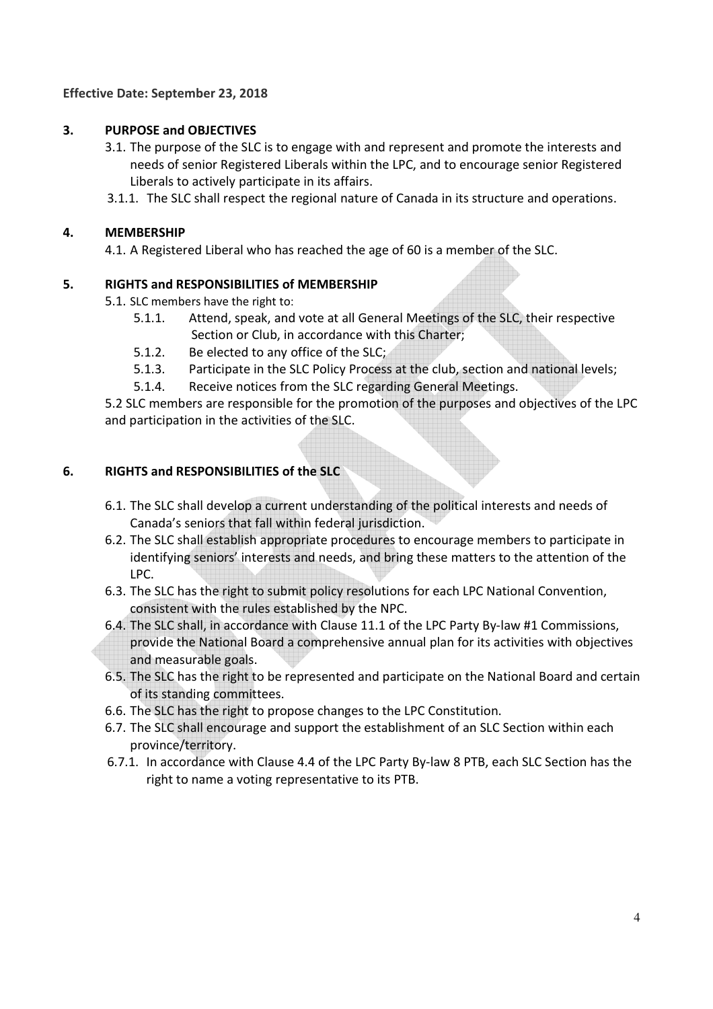## **3. PURPOSE and OBJECTIVES**

- 3.1. The purpose of the SLC is to engage with and represent and promote the interests and needs of senior Registered Liberals within the LPC, and to encourage senior Registered Liberals to actively participate in its affairs.
- 3.1.1. The SLC shall respect the regional nature of Canada in its structure and operations.

### **4. MEMBERSHIP**

4.1. A Registered Liberal who has reached the age of 60 is a member of the SLC.

### **5. RIGHTS and RESPONSIBILITIES of MEMBERSHIP**

- 5.1. SLC members have the right to:
	- 5.1.1. Attend, speak, and vote at all General Meetings of the SLC, their respective Section or Club, in accordance with this Charter;
	- 5.1.2. Be elected to any office of the SLC;
	- 5.1.3. Participate in the SLC Policy Process at the club, section and national levels;
	- 5.1.4. Receive notices from the SLC regarding General Meetings.

5.2 SLC members are responsible for the promotion of the purposes and objectives of the LPC and participation in the activities of the SLC.

### **6. RIGHTS and RESPONSIBILITIES of the SLC**

- 6.1. The SLC shall develop a current understanding of the political interests and needs of Canada's seniors that fall within federal jurisdiction.
- 6.2. The SLC shall establish appropriate procedures to encourage members to participate in identifying seniors' interests and needs, and bring these matters to the attention of the LPC.
- 6.3. The SLC has the right to submit policy resolutions for each LPC National Convention, consistent with the rules established by the NPC.
- 6.4. The SLC shall, in accordance with Clause 11.1 of the LPC Party By-law #1 Commissions, provide the National Board a comprehensive annual plan for its activities with objectives and measurable goals.
- 6.5. The SLC has the right to be represented and participate on the National Board and certain of its standing committees.
- 6.6. The SLC has the right to propose changes to the LPC Constitution.
- 6.7. The SLC shall encourage and support the establishment of an SLC Section within each province/territory.
- 6.7.1. In accordance with Clause 4.4 of the LPC Party By-law 8 PTB, each SLC Section has the right to name a voting representative to its PTB.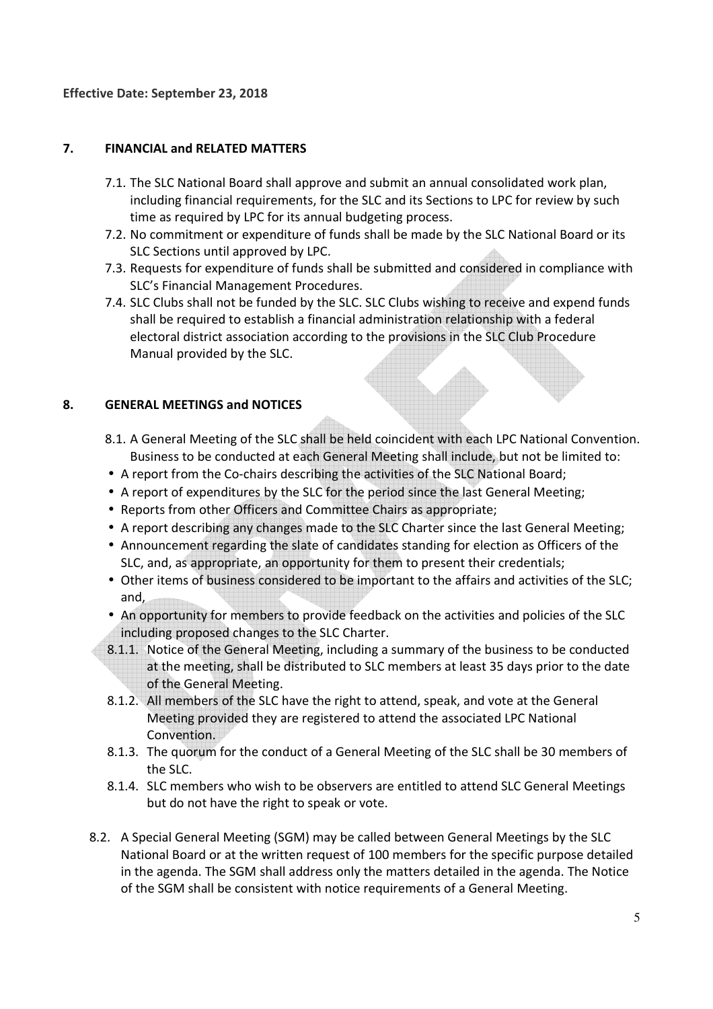## **7. FINANCIAL and RELATED MATTERS**

- 7.1. The SLC National Board shall approve and submit an annual consolidated work plan, including financial requirements, for the SLC and its Sections to LPC for review by such time as required by LPC for its annual budgeting process.
- 7.2. No commitment or expenditure of funds shall be made by the SLC National Board or its SLC Sections until approved by LPC.
- 7.3. Requests for expenditure of funds shall be submitted and considered in compliance with SLC's Financial Management Procedures.
- 7.4. SLC Clubs shall not be funded by the SLC. SLC Clubs wishing to receive and expend funds shall be required to establish a financial administration relationship with a federal electoral district association according to the provisions in the SLC Club Procedure Manual provided by the SLC.

### **8. GENERAL MEETINGS and NOTICES**

- 8.1. A General Meeting of the SLC shall be held coincident with each LPC National Convention. Business to be conducted at each General Meeting shall include, but not be limited to:
- A report from the Co-chairs describing the activities of the SLC National Board;
- A report of expenditures by the SLC for the period since the last General Meeting;
- Reports from other Officers and Committee Chairs as appropriate;
- A report describing any changes made to the SLC Charter since the last General Meeting;
- Announcement regarding the slate of candidates standing for election as Officers of the SLC, and, as appropriate, an opportunity for them to present their credentials;
- Other items of business considered to be important to the affairs and activities of the SLC; and,
- An opportunity for members to provide feedback on the activities and policies of the SLC including proposed changes to the SLC Charter.
- 8.1.1. Notice of the General Meeting, including a summary of the business to be conducted at the meeting, shall be distributed to SLC members at least 35 days prior to the date of the General Meeting.
- 8.1.2. All members of the SLC have the right to attend, speak, and vote at the General Meeting provided they are registered to attend the associated LPC National Convention.
- 8.1.3. The quorum for the conduct of a General Meeting of the SLC shall be 30 members of the SLC.
- 8.1.4. SLC members who wish to be observers are entitled to attend SLC General Meetings but do not have the right to speak or vote.
- 8.2. A Special General Meeting (SGM) may be called between General Meetings by the SLC National Board or at the written request of 100 members for the specific purpose detailed in the agenda. The SGM shall address only the matters detailed in the agenda. The Notice of the SGM shall be consistent with notice requirements of a General Meeting.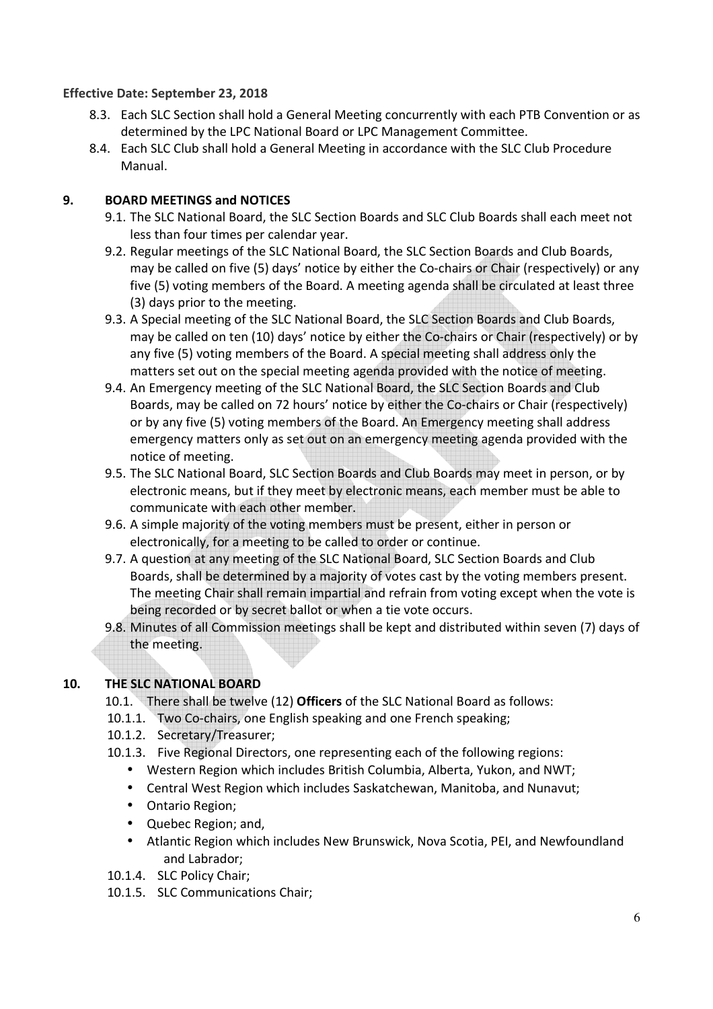- 8.3. Each SLC Section shall hold a General Meeting concurrently with each PTB Convention or as determined by the LPC National Board or LPC Management Committee.
- 8.4. Each SLC Club shall hold a General Meeting in accordance with the SLC Club Procedure Manual.

## **9. BOARD MEETINGS and NOTICES**

- 9.1. The SLC National Board, the SLC Section Boards and SLC Club Boards shall each meet not less than four times per calendar year.
- 9.2. Regular meetings of the SLC National Board, the SLC Section Boards and Club Boards, may be called on five (5) days' notice by either the Co-chairs or Chair (respectively) or any five (5) voting members of the Board. A meeting agenda shall be circulated at least three (3) days prior to the meeting.
- 9.3. A Special meeting of the SLC National Board, the SLC Section Boards and Club Boards, may be called on ten (10) days' notice by either the Co-chairs or Chair (respectively) or by any five (5) voting members of the Board. A special meeting shall address only the matters set out on the special meeting agenda provided with the notice of meeting.
- 9.4. An Emergency meeting of the SLC National Board, the SLC Section Boards and Club Boards, may be called on 72 hours' notice by either the Co-chairs or Chair (respectively) or by any five (5) voting members of the Board. An Emergency meeting shall address emergency matters only as set out on an emergency meeting agenda provided with the notice of meeting.
- 9.5. The SLC National Board, SLC Section Boards and Club Boards may meet in person, or by electronic means, but if they meet by electronic means, each member must be able to communicate with each other member.
- 9.6. A simple majority of the voting members must be present, either in person or electronically, for a meeting to be called to order or continue.
- 9.7. A question at any meeting of the SLC National Board, SLC Section Boards and Club Boards, shall be determined by a majority of votes cast by the voting members present. The meeting Chair shall remain impartial and refrain from voting except when the vote is being recorded or by secret ballot or when a tie vote occurs.
- 9.8. Minutes of all Commission meetings shall be kept and distributed within seven (7) days of the meeting.

## **10. THE SLC NATIONAL BOARD**

- 10.1. There shall be twelve (12) **Officers** of the SLC National Board as follows:
- 10.1.1. Two Co-chairs, one English speaking and one French speaking;
- 10.1.2. Secretary/Treasurer;
- 10.1.3. Five Regional Directors, one representing each of the following regions:
	- Western Region which includes British Columbia, Alberta, Yukon, and NWT;
	- Central West Region which includes Saskatchewan, Manitoba, and Nunavut;
	- Ontario Region;
	- Quebec Region; and,
	- Atlantic Region which includes New Brunswick, Nova Scotia, PEI, and Newfoundland and Labrador;
- 10.1.4. SLC Policy Chair;
- 10.1.5. SLC Communications Chair;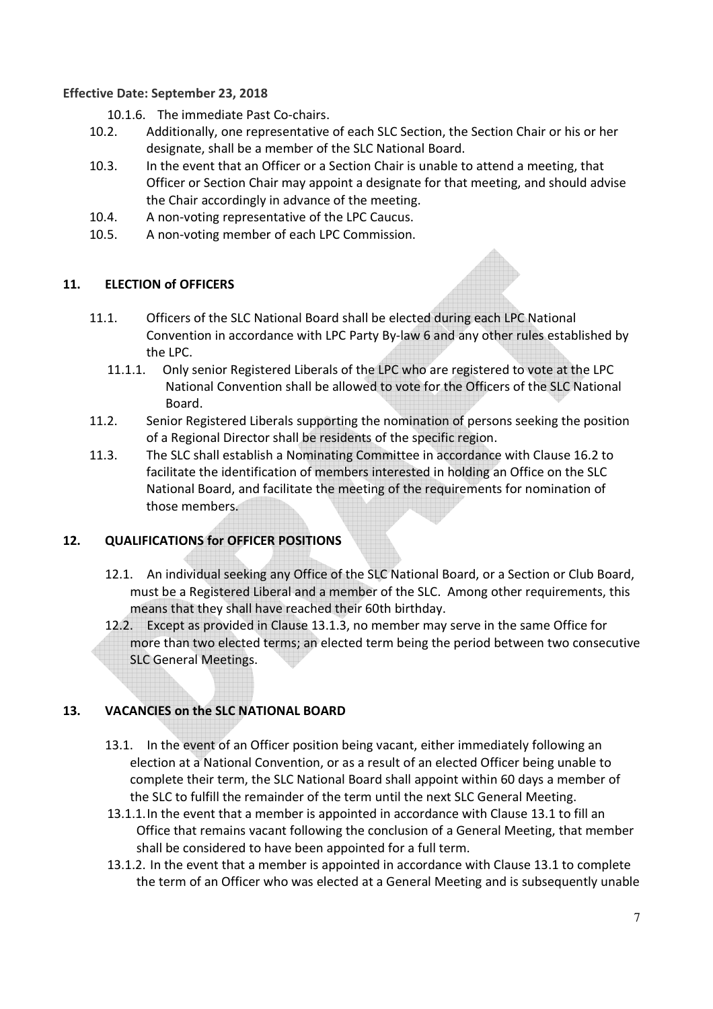10.1.6. The immediate Past Co-chairs.

- 10.2. Additionally, one representative of each SLC Section, the Section Chair or his or her designate, shall be a member of the SLC National Board.
- 10.3. In the event that an Officer or a Section Chair is unable to attend a meeting, that Officer or Section Chair may appoint a designate for that meeting, and should advise the Chair accordingly in advance of the meeting.
- 10.4. A non-voting representative of the LPC Caucus.
- 10.5. A non-voting member of each LPC Commission.

## **11. ELECTION of OFFICERS**

- 11.1. Officers of the SLC National Board shall be elected during each LPC National Convention in accordance with LPC Party By-law 6 and any other rules established by the LPC.
	- 11.1.1. Only senior Registered Liberals of the LPC who are registered to vote at the LPC National Convention shall be allowed to vote for the Officers of the SLC National Board.
- 11.2. Senior Registered Liberals supporting the nomination of persons seeking the position of a Regional Director shall be residents of the specific region.
- 11.3. The SLC shall establish a Nominating Committee in accordance with Clause 16.2 to facilitate the identification of members interested in holding an Office on the SLC National Board, and facilitate the meeting of the requirements for nomination of those members.

## **12. QUALIFICATIONS for OFFICER POSITIONS**

- 12.1. An individual seeking any Office of the SLC National Board, or a Section or Club Board, must be a Registered Liberal and a member of the SLC. Among other requirements, this means that they shall have reached their 60th birthday.
- 12.2. Except as provided in Clause 13.1.3, no member may serve in the same Office for more than two elected terms; an elected term being the period between two consecutive SLC General Meetings.

# **13. VACANCIES on the SLC NATIONAL BOARD**

- 13.1. In the event of an Officer position being vacant, either immediately following an election at a National Convention, or as a result of an elected Officer being unable to complete their term, the SLC National Board shall appoint within 60 days a member of the SLC to fulfill the remainder of the term until the next SLC General Meeting.
- 13.1.1.In the event that a member is appointed in accordance with Clause 13.1 to fill an Office that remains vacant following the conclusion of a General Meeting, that member shall be considered to have been appointed for a full term.
- 13.1.2. In the event that a member is appointed in accordance with Clause 13.1 to complete the term of an Officer who was elected at a General Meeting and is subsequently unable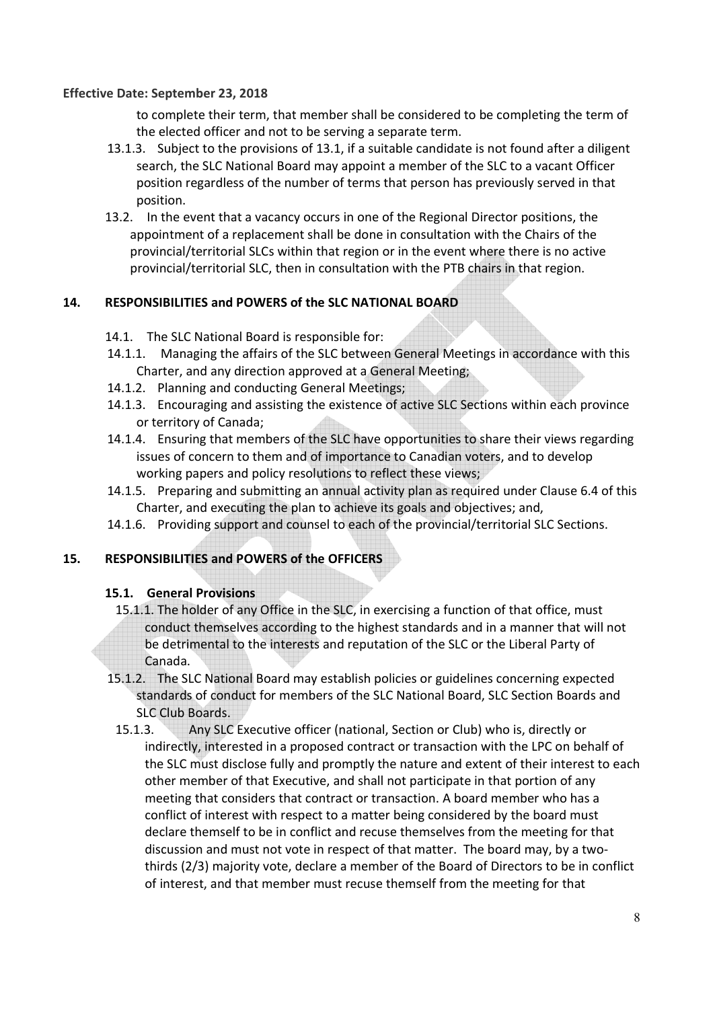to complete their term, that member shall be considered to be completing the term of the elected officer and not to be serving a separate term.

- 13.1.3. Subject to the provisions of 13.1, if a suitable candidate is not found after a diligent search, the SLC National Board may appoint a member of the SLC to a vacant Officer position regardless of the number of terms that person has previously served in that position.
- 13.2. In the event that a vacancy occurs in one of the Regional Director positions, the appointment of a replacement shall be done in consultation with the Chairs of the provincial/territorial SLCs within that region or in the event where there is no active provincial/territorial SLC, then in consultation with the PTB chairs in that region.

#### **14. RESPONSIBILITIES and POWERS of the SLC NATIONAL BOARD**

- 14.1. The SLC National Board is responsible for:
- 14.1.1. Managing the affairs of the SLC between General Meetings in accordance with this Charter, and any direction approved at a General Meeting;
- 14.1.2. Planning and conducting General Meetings;
- 14.1.3. Encouraging and assisting the existence of active SLC Sections within each province or territory of Canada;
- 14.1.4. Ensuring that members of the SLC have opportunities to share their views regarding issues of concern to them and of importance to Canadian voters, and to develop working papers and policy resolutions to reflect these views;
- 14.1.5. Preparing and submitting an annual activity plan as required under Clause 6.4 of this Charter, and executing the plan to achieve its goals and objectives; and,
- 14.1.6. Providing support and counsel to each of the provincial/territorial SLC Sections.

#### **15. RESPONSIBILITIES and POWERS of the OFFICERS**

#### **15.1. General Provisions**

- 15.1.1. The holder of any Office in the SLC, in exercising a function of that office, must conduct themselves according to the highest standards and in a manner that will not be detrimental to the interests and reputation of the SLC or the Liberal Party of Canada.
- 15.1.2. The SLC National Board may establish policies or guidelines concerning expected standards of conduct for members of the SLC National Board, SLC Section Boards and SLC Club Boards.
- 15.1.3. Any SLC Executive officer (national, Section or Club) who is, directly or indirectly, interested in a proposed contract or transaction with the LPC on behalf of the SLC must disclose fully and promptly the nature and extent of their interest to each other member of that Executive, and shall not participate in that portion of any meeting that considers that contract or transaction. A board member who has a conflict of interest with respect to a matter being considered by the board must declare themself to be in conflict and recuse themselves from the meeting for that discussion and must not vote in respect of that matter. The board may, by a twothirds (2/3) majority vote, declare a member of the Board of Directors to be in conflict of interest, and that member must recuse themself from the meeting for that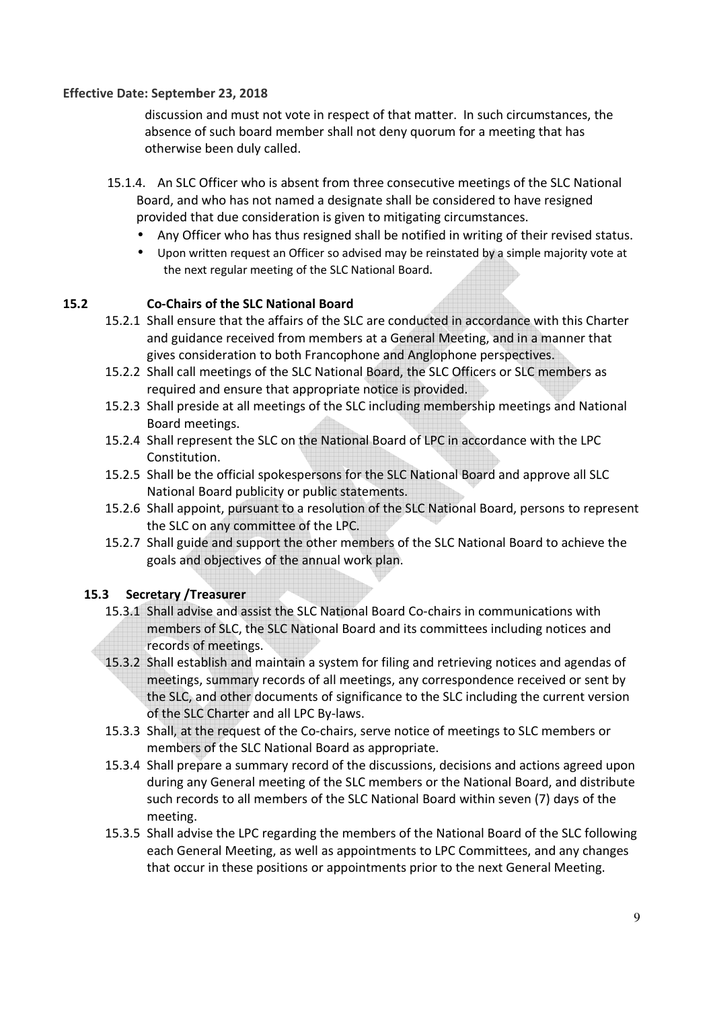discussion and must not vote in respect of that matter. In such circumstances, the absence of such board member shall not deny quorum for a meeting that has otherwise been duly called.

- 15.1.4. An SLC Officer who is absent from three consecutive meetings of the SLC National Board, and who has not named a designate shall be considered to have resigned provided that due consideration is given to mitigating circumstances.
	- Any Officer who has thus resigned shall be notified in writing of their revised status.
	- Upon written request an Officer so advised may be reinstated by a simple majority vote at the next regular meeting of the SLC National Board.

## **15.2 Co-Chairs of the SLC National Board**

- 15.2.1 Shall ensure that the affairs of the SLC are conducted in accordance with this Charter and guidance received from members at a General Meeting, and in a manner that gives consideration to both Francophone and Anglophone perspectives.
- 15.2.2 Shall call meetings of the SLC National Board, the SLC Officers or SLC members as required and ensure that appropriate notice is provided.
- 15.2.3 Shall preside at all meetings of the SLC including membership meetings and National Board meetings.
- 15.2.4 Shall represent the SLC on the National Board of LPC in accordance with the LPC Constitution.
- 15.2.5 Shall be the official spokespersons for the SLC National Board and approve all SLC National Board publicity or public statements.
- 15.2.6 Shall appoint, pursuant to a resolution of the SLC National Board, persons to represent the SLC on any committee of the LPC.
- 15.2.7 Shall guide and support the other members of the SLC National Board to achieve the goals and objectives of the annual work plan.

#### **15.3 Secretary /Treasurer**

- 15.3.1 Shall advise and assist the SLC National Board Co-chairs in communications with members of SLC, the SLC National Board and its committees including notices and records of meetings.
- 15.3.2 Shall establish and maintain a system for filing and retrieving notices and agendas of meetings, summary records of all meetings, any correspondence received or sent by the SLC, and other documents of significance to the SLC including the current version of the SLC Charter and all LPC By-laws.
- 15.3.3 Shall, at the request of the Co-chairs, serve notice of meetings to SLC members or members of the SLC National Board as appropriate.
- 15.3.4 Shall prepare a summary record of the discussions, decisions and actions agreed upon during any General meeting of the SLC members or the National Board, and distribute such records to all members of the SLC National Board within seven (7) days of the meeting.
- 15.3.5 Shall advise the LPC regarding the members of the National Board of the SLC following each General Meeting, as well as appointments to LPC Committees, and any changes that occur in these positions or appointments prior to the next General Meeting.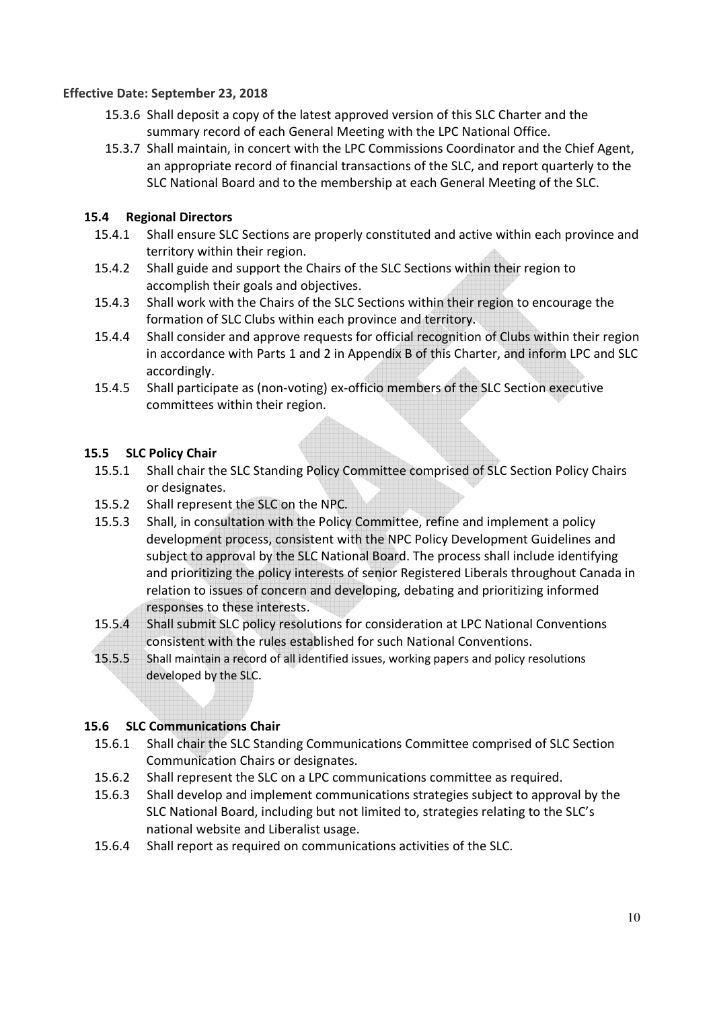- 15.3.6 Shall deposit a copy of the latest approved version of this SLC Charter and the summary record of each General Meeting with the LPC National Office.
- 15.3.7 Shall maintain, in concert with the LPC Commissions Coordinator and the Chief Agent, an appropriate record of financial transactions of the SLC, and report quarterly to the SLC National Board and to the membership at each General Meeting of the SLC.

## **15.4 Regional Directors**

- 15.4.1 Shall ensure SLC Sections are properly constituted and active within each province and territory within their region.
- 15.4.2 Shall guide and support the Chairs of the SLC Sections within their region to accomplish their goals and objectives.
- 15.4.3 Shall work with the Chairs of the SLC Sections within their region to encourage the formation of SLC Clubs within each province and territory.
- 15.4.4 Shall consider and approve requests for official recognition of Clubs within their region in accordance with Parts 1 and 2 in Appendix B of this Charter, and inform LPC and SLC accordingly.
- 15.4.5 Shall participate as (non-voting) ex-officio members of the SLC Section executive committees within their region.

### **15.5 SLC Policy Chair**

- 15.5.1 Shall chair the SLC Standing Policy Committee comprised of SLC Section Policy Chairs or designates.
- 15.5.2 Shall represent the SLC on the NPC.
- 15.5.3 Shall, in consultation with the Policy Committee, refine and implement a policy development process, consistent with the NPC Policy Development Guidelines and subject to approval by the SLC National Board. The process shall include identifying and prioritizing the policy interests of senior Registered Liberals throughout Canada in relation to issues of concern and developing, debating and prioritizing informed responses to these interests.
- 15.5.4 Shall submit SLC policy resolutions for consideration at LPC National Conventions consistent with the rules established for such National Conventions.
- 15.5.5 Shall maintain a record of all identified issues, working papers and policy resolutions developed by the SLC.

#### **15.6 SLC Communications Chair**

- 15.6.1 Shall chair the SLC Standing Communications Committee comprised of SLC Section Communication Chairs or designates.
- 15.6.2 Shall represent the SLC on a LPC communications committee as required.
- 15.6.3 Shall develop and implement communications strategies subject to approval by the SLC National Board, including but not limited to, strategies relating to the SLC's national website and Liberalist usage.
- 15.6.4 Shall report as required on communications activities of the SLC.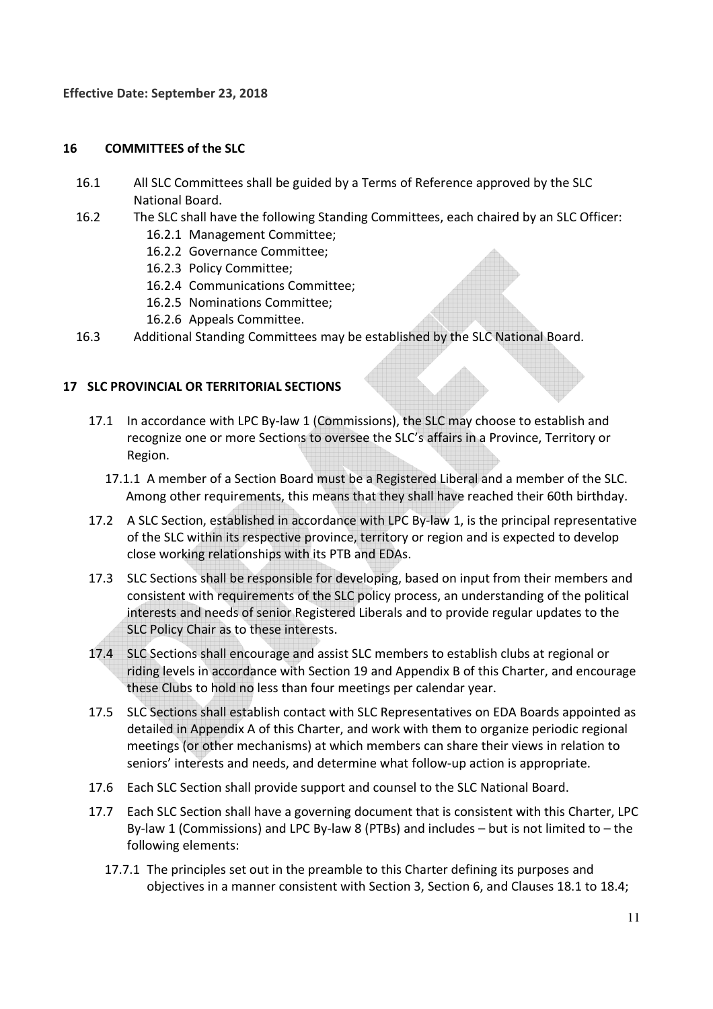#### **16 COMMITTEES of the SLC**

- 16.1 All SLC Committees shall be guided by a Terms of Reference approved by the SLC National Board.
- 16.2 The SLC shall have the following Standing Committees, each chaired by an SLC Officer: 16.2.1 Management Committee;
	- 16.2.2 Governance Committee;
	- 16.2.3 Policy Committee;
	- 16.2.4 Communications Committee;
	- 16.2.5 Nominations Committee;
	- 16.2.6 Appeals Committee.
- 16.3 Additional Standing Committees may be established by the SLC National Board.

#### **17 SLC PROVINCIAL OR TERRITORIAL SECTIONS**

- 17.1 In accordance with LPC By-law 1 (Commissions), the SLC may choose to establish and recognize one or more Sections to oversee the SLC's affairs in a Province, Territory or Region.
	- 17.1.1 A member of a Section Board must be a Registered Liberal and a member of the SLC. Among other requirements, this means that they shall have reached their 60th birthday.
- 17.2 A SLC Section, established in accordance with LPC By-law 1, is the principal representative of the SLC within its respective province, territory or region and is expected to develop close working relationships with its PTB and EDAs.
- 17.3 SLC Sections shall be responsible for developing, based on input from their members and consistent with requirements of the SLC policy process, an understanding of the political interests and needs of senior Registered Liberals and to provide regular updates to the SLC Policy Chair as to these interests.
- 17.4 SLC Sections shall encourage and assist SLC members to establish clubs at regional or riding levels in accordance with Section 19 and Appendix B of this Charter, and encourage these Clubs to hold no less than four meetings per calendar year.
- 17.5 SLC Sections shall establish contact with SLC Representatives on EDA Boards appointed as detailed in Appendix A of this Charter, and work with them to organize periodic regional meetings (or other mechanisms) at which members can share their views in relation to seniors' interests and needs, and determine what follow-up action is appropriate.
- 17.6 Each SLC Section shall provide support and counsel to the SLC National Board.
- 17.7 Each SLC Section shall have a governing document that is consistent with this Charter, LPC By-law 1 (Commissions) and LPC By-law 8 (PTBs) and includes – but is not limited to – the following elements:
	- 17.7.1 The principles set out in the preamble to this Charter defining its purposes and objectives in a manner consistent with Section 3, Section 6, and Clauses 18.1 to 18.4;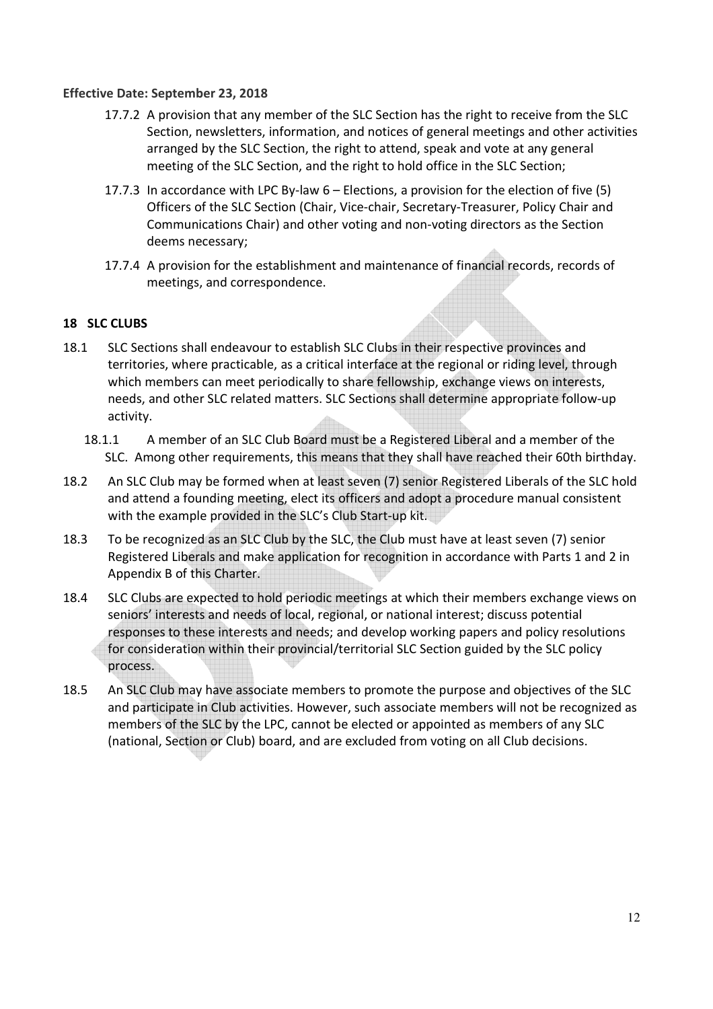- 17.7.2 A provision that any member of the SLC Section has the right to receive from the SLC Section, newsletters, information, and notices of general meetings and other activities arranged by the SLC Section, the right to attend, speak and vote at any general meeting of the SLC Section, and the right to hold office in the SLC Section;
- 17.7.3 In accordance with LPC By-law 6 Elections, a provision for the election of five (5) Officers of the SLC Section (Chair, Vice-chair, Secretary-Treasurer, Policy Chair and Communications Chair) and other voting and non-voting directors as the Section deems necessary;
- 17.7.4 A provision for the establishment and maintenance of financial records, records of meetings, and correspondence.

#### **18 SLC CLUBS**

- 18.1 SLC Sections shall endeavour to establish SLC Clubs in their respective provinces and territories, where practicable, as a critical interface at the regional or riding level, through which members can meet periodically to share fellowship, exchange views on interests, needs, and other SLC related matters. SLC Sections shall determine appropriate follow-up activity.
	- 18.1.1 A member of an SLC Club Board must be a Registered Liberal and a member of the SLC. Among other requirements, this means that they shall have reached their 60th birthday.
- 18.2 An SLC Club may be formed when at least seven (7) senior Registered Liberals of the SLC hold and attend a founding meeting, elect its officers and adopt a procedure manual consistent with the example provided in the SLC's Club Start-up kit.
- 18.3 To be recognized as an SLC Club by the SLC, the Club must have at least seven (7) senior Registered Liberals and make application for recognition in accordance with Parts 1 and 2 in Appendix B of this Charter.
- 18.4 SLC Clubs are expected to hold periodic meetings at which their members exchange views on seniors' interests and needs of local, regional, or national interest; discuss potential responses to these interests and needs; and develop working papers and policy resolutions for consideration within their provincial/territorial SLC Section guided by the SLC policy process.
- 18.5 An SLC Club may have associate members to promote the purpose and objectives of the SLC and participate in Club activities. However, such associate members will not be recognized as members of the SLC by the LPC, cannot be elected or appointed as members of any SLC (national, Section or Club) board, and are excluded from voting on all Club decisions.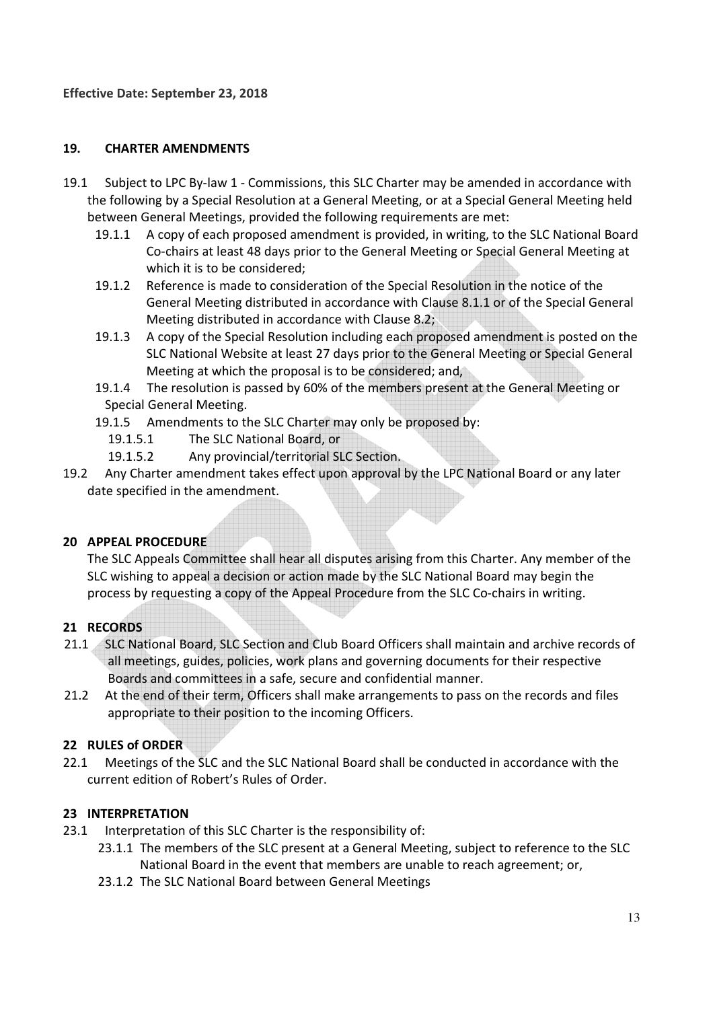## **19. CHARTER AMENDMENTS**

- 19.1 Subject to LPC By-law 1 Commissions, this SLC Charter may be amended in accordance with the following by a Special Resolution at a General Meeting, or at a Special General Meeting held between General Meetings, provided the following requirements are met:
	- 19.1.1 A copy of each proposed amendment is provided, in writing, to the SLC National Board Co-chairs at least 48 days prior to the General Meeting or Special General Meeting at which it is to be considered;
	- 19.1.2 Reference is made to consideration of the Special Resolution in the notice of the General Meeting distributed in accordance with Clause 8.1.1 or of the Special General Meeting distributed in accordance with Clause 8.2;
	- 19.1.3 A copy of the Special Resolution including each proposed amendment is posted on the SLC National Website at least 27 days prior to the General Meeting or Special General Meeting at which the proposal is to be considered; and,
	- 19.1.4 The resolution is passed by 60% of the members present at the General Meeting or Special General Meeting.
	- 19.1.5 Amendments to the SLC Charter may only be proposed by:
		- 19.1.5.1 The SLC National Board, or
		- 19.1.5.2 Any provincial/territorial SLC Section.
- 19.2 Any Charter amendment takes effect upon approval by the LPC National Board or any later date specified in the amendment.

## **20 APPEAL PROCEDURE**

The SLC Appeals Committee shall hear all disputes arising from this Charter. Any member of the SLC wishing to appeal a decision or action made by the SLC National Board may begin the process by requesting a copy of the Appeal Procedure from the SLC Co-chairs in writing.

## **21 RECORDS**

- 21.1 SLC National Board, SLC Section and Club Board Officers shall maintain and archive records of all meetings, guides, policies, work plans and governing documents for their respective Boards and committees in a safe, secure and confidential manner.
- 21.2 At the end of their term, Officers shall make arrangements to pass on the records and files appropriate to their position to the incoming Officers.

## **22 RULES of ORDER**

22.1 Meetings of the SLC and the SLC National Board shall be conducted in accordance with the current edition of Robert's Rules of Order.

#### **23 INTERPRETATION**

- 23.1 Interpretation of this SLC Charter is the responsibility of:
	- 23.1.1 The members of the SLC present at a General Meeting, subject to reference to the SLC National Board in the event that members are unable to reach agreement; or,
	- 23.1.2 The SLC National Board between General Meetings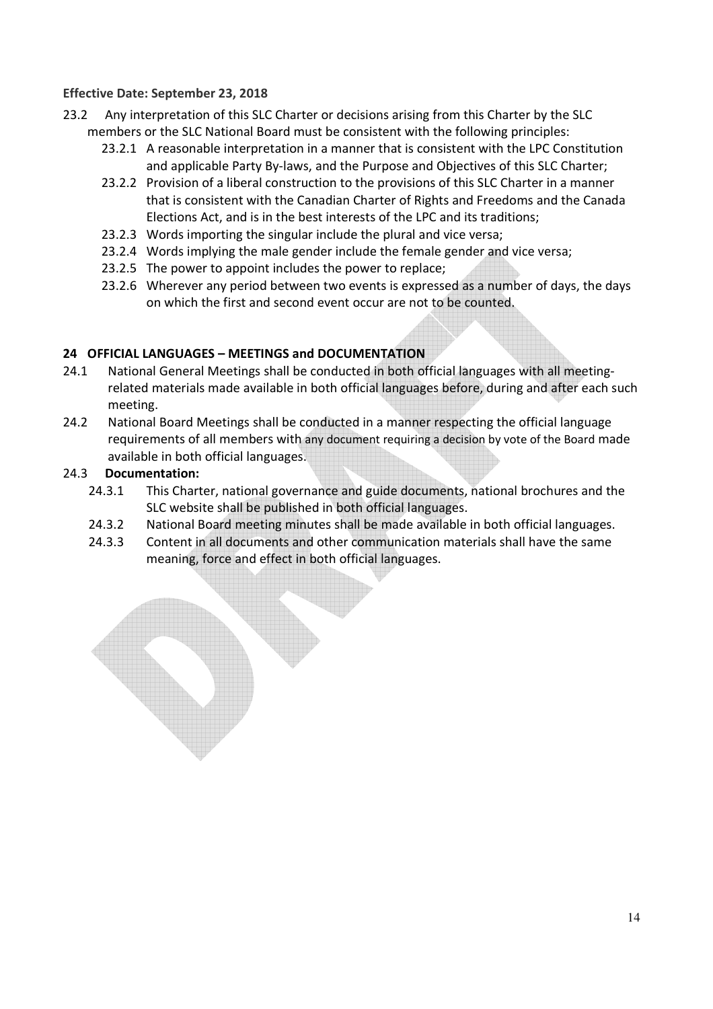- 23.2 Any interpretation of this SLC Charter or decisions arising from this Charter by the SLC members or the SLC National Board must be consistent with the following principles:
	- 23.2.1 A reasonable interpretation in a manner that is consistent with the LPC Constitution and applicable Party By-laws, and the Purpose and Objectives of this SLC Charter;
	- 23.2.2 Provision of a liberal construction to the provisions of this SLC Charter in a manner that is consistent with the Canadian Charter of Rights and Freedoms and the Canada Elections Act, and is in the best interests of the LPC and its traditions;
	- 23.2.3 Words importing the singular include the plural and vice versa;
	- 23.2.4 Words implying the male gender include the female gender and vice versa;
	- 23.2.5 The power to appoint includes the power to replace;
	- 23.2.6 Wherever any period between two events is expressed as a number of days, the days on which the first and second event occur are not to be counted.

## **24 OFFICIAL LANGUAGES – MEETINGS and DOCUMENTATION**

- 24.1 National General Meetings shall be conducted in both official languages with all meetingrelated materials made available in both official languages before, during and after each such meeting.
- 24.2 National Board Meetings shall be conducted in a manner respecting the official language requirements of all members with any document requiring a decision by vote of the Board made available in both official languages.

### 24.3 **Documentation:**

- 24.3.1 This Charter, national governance and guide documents, national brochures and the SLC website shall be published in both official languages.
- 24.3.2 National Board meeting minutes shall be made available in both official languages.
- 24.3.3 Content in all documents and other communication materials shall have the same meaning, force and effect in both official languages.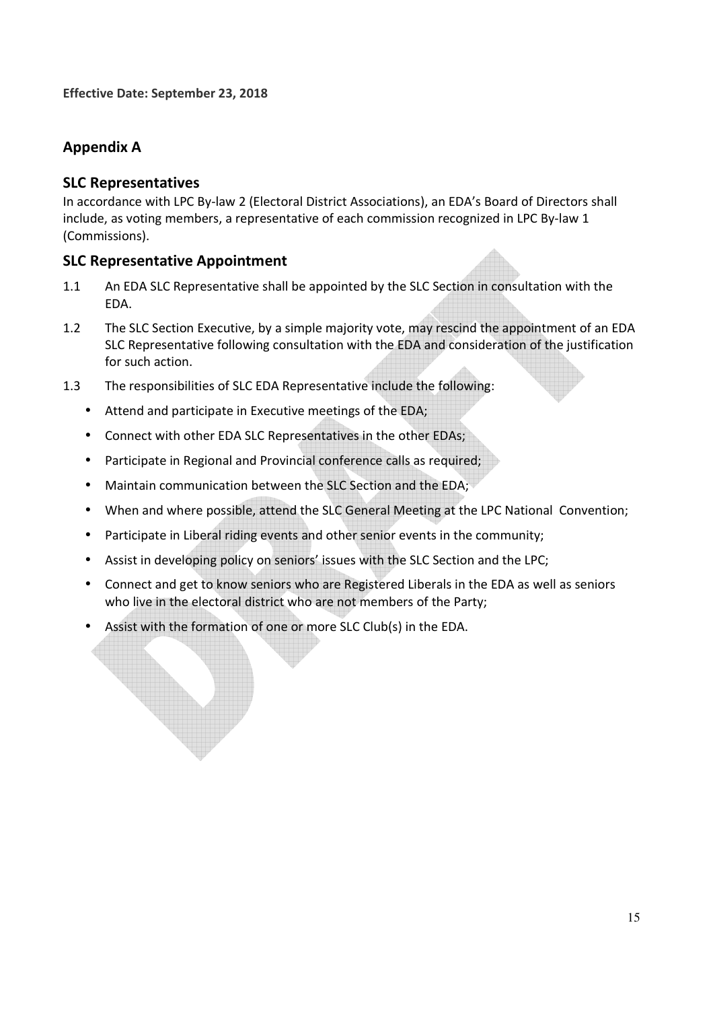# **Appendix A**

## **SLC Representatives**

In accordance with LPC By-law 2 (Electoral District Associations), an EDA's Board of Directors shall include, as voting members, a representative of each commission recognized in LPC By-law 1 (Commissions).

## **SLC Representative Appointment**

- 1.1 An EDA SLC Representative shall be appointed by the SLC Section in consultation with the EDA.
- 1.2 The SLC Section Executive, by a simple majority vote, may rescind the appointment of an EDA SLC Representative following consultation with the EDA and consideration of the justification for such action.
- 1.3 The responsibilities of SLC EDA Representative include the following:
	- Attend and participate in Executive meetings of the EDA;
	- Connect with other EDA SLC Representatives in the other EDAs;
	- Participate in Regional and Provincial conference calls as required;
	- Maintain communication between the SLC Section and the EDA;
	- When and where possible, attend the SLC General Meeting at the LPC National Convention;
	- Participate in Liberal riding events and other senior events in the community;
	- Assist in developing policy on seniors' issues with the SLC Section and the LPC;
	- Connect and get to know seniors who are Registered Liberals in the EDA as well as seniors who live in the electoral district who are not members of the Party;
	- Assist with the formation of one or more SLC Club(s) in the EDA.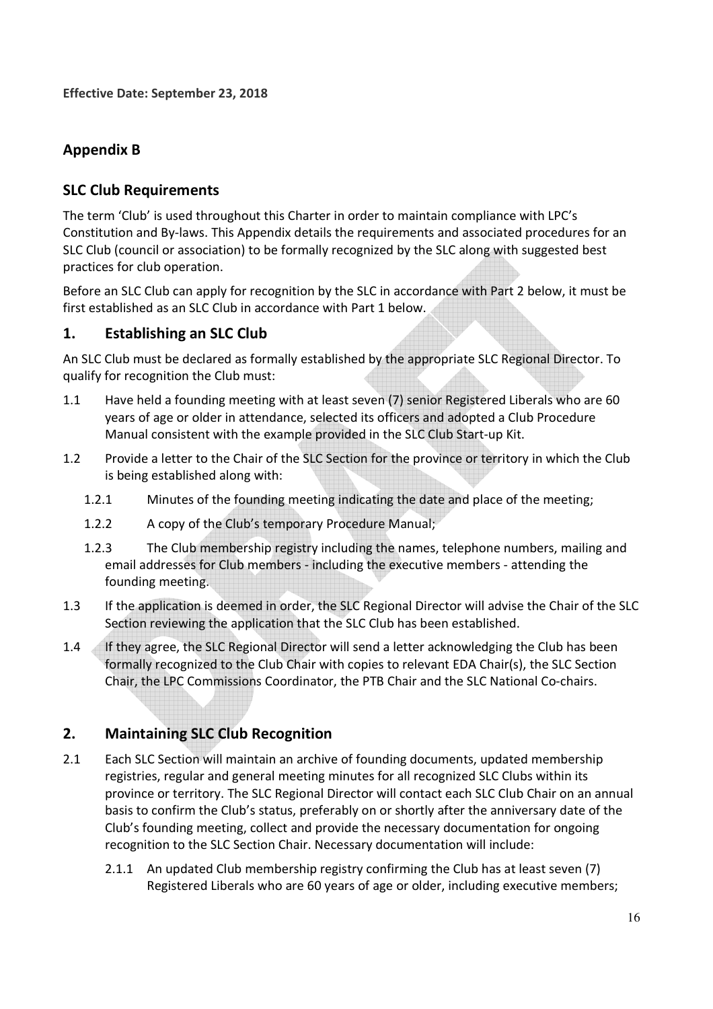# **Appendix B**

# **SLC Club Requirements**

The term 'Club' is used throughout this Charter in order to maintain compliance with LPC's Constitution and By-laws. This Appendix details the requirements and associated procedures for an SLC Club (council or association) to be formally recognized by the SLC along with suggested best practices for club operation.

Before an SLC Club can apply for recognition by the SLC in accordance with Part 2 below, it must be first established as an SLC Club in accordance with Part 1 below.

# **1. Establishing an SLC Club**

An SLC Club must be declared as formally established by the appropriate SLC Regional Director. To qualify for recognition the Club must:

- 1.1 Have held a founding meeting with at least seven (7) senior Registered Liberals who are 60 years of age or older in attendance, selected its officers and adopted a Club Procedure Manual consistent with the example provided in the SLC Club Start-up Kit.
- 1.2 Provide a letter to the Chair of the SLC Section for the province or territory in which the Club is being established along with:
	- 1.2.1 Minutes of the founding meeting indicating the date and place of the meeting;
	- 1.2.2 A copy of the Club's temporary Procedure Manual;
	- 1.2.3 The Club membership registry including the names, telephone numbers, mailing and email addresses for Club members - including the executive members - attending the founding meeting.
- 1.3 If the application is deemed in order, the SLC Regional Director will advise the Chair of the SLC Section reviewing the application that the SLC Club has been established.
- 1.4 If they agree, the SLC Regional Director will send a letter acknowledging the Club has been formally recognized to the Club Chair with copies to relevant EDA Chair(s), the SLC Section Chair, the LPC Commissions Coordinator, the PTB Chair and the SLC National Co-chairs.

# **2. Maintaining SLC Club Recognition**

- 2.1 Each SLC Section will maintain an archive of founding documents, updated membership registries, regular and general meeting minutes for all recognized SLC Clubs within its province or territory. The SLC Regional Director will contact each SLC Club Chair on an annual basis to confirm the Club's status, preferably on or shortly after the anniversary date of the Club's founding meeting, collect and provide the necessary documentation for ongoing recognition to the SLC Section Chair. Necessary documentation will include:
	- 2.1.1 An updated Club membership registry confirming the Club has at least seven (7) Registered Liberals who are 60 years of age or older, including executive members;